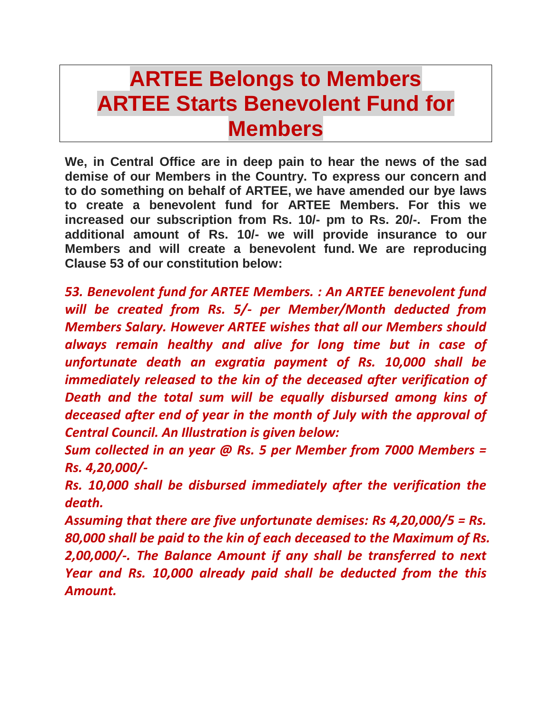## **ARTEE Belongs to Members ARTEE Starts Benevolent Fund for Members**

**We, in Central Office are in deep pain to hear the news of the sad demise of our Members in the Country. To express our concern and to do something on behalf of ARTEE, we have amended our bye laws to create a benevolent fund for ARTEE Members. For this we increased our subscription from Rs. 10/- pm to Rs. 20/-. From the additional amount of Rs. 10/- we will provide insurance to our Members and will create a benevolent fund. We are reproducing Clause 53 of our constitution below:**

*53. Benevolent fund for ARTEE Members. : An ARTEE benevolent fund will be created from Rs. 5/- per Member/Month deducted from Members Salary. However ARTEE wishes that all our Members should always remain healthy and alive for long time but in case of unfortunate death an exgratia payment of Rs. 10,000 shall be immediately released to the kin of the deceased after verification of Death and the total sum will be equally disbursed among kins of deceased after end of year in the month of July with the approval of Central Council. An Illustration is given below:*

*Sum collected in an year @ Rs. 5 per Member from 7000 Members = Rs. 4,20,000/-*

*Rs. 10,000 shall be disbursed immediately after the verification the death.* 

*Assuming that there are five unfortunate demises: Rs 4,20,000/5 = Rs. 80,000 shall be paid to the kin of each deceased to the Maximum of Rs. 2,00,000/-. The Balance Amount if any shall be transferred to next Year and Rs. 10,000 already paid shall be deducted from the this Amount.*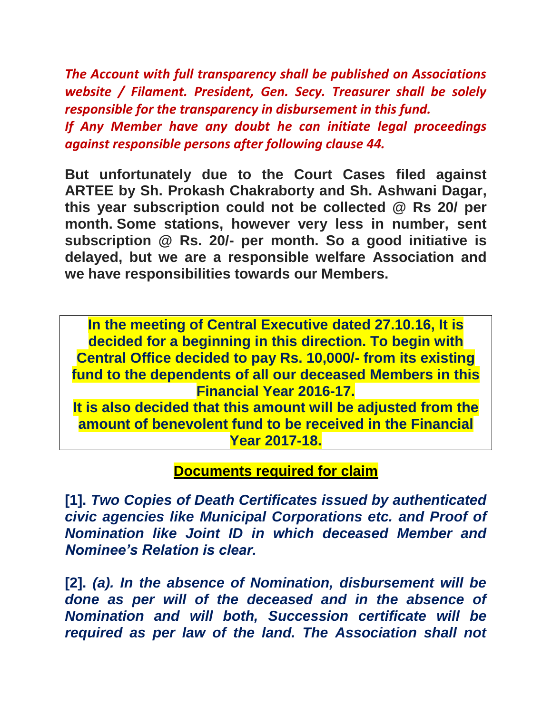*The Account with full transparency shall be published on Associations website / Filament. President, Gen. Secy. Treasurer shall be solely responsible for the transparency in disbursement in this fund. If Any Member have any doubt he can initiate legal proceedings against responsible persons after following clause 44.*

**But unfortunately due to the Court Cases filed against ARTEE by Sh. Prokash Chakraborty and Sh. Ashwani Dagar, this year subscription could not be collected @ Rs 20/ per month. Some stations, however very less in number, sent subscription @ Rs. 20/- per month. So a good initiative is delayed, but we are a responsible welfare Association and we have responsibilities towards our Members.**

**In the meeting of Central Executive dated 27.10.16, It is decided for a beginning in this direction. To begin with Central Office decided to pay Rs. 10,000/- from its existing fund to the dependents of all our deceased Members in this Financial Year 2016-17. It is also decided that this amount will be adjusted from the amount of benevolent fund to be received in the Financial Year 2017-18.**

## **Documents required for claim**

**[1].** *Two Copies of Death Certificates issued by authenticated civic agencies like Municipal Corporations etc. and Proof of Nomination like Joint ID in which deceased Member and Nominee's Relation is clear.*

**[2].** *(a). In the absence of Nomination, disbursement will be done as per will of the deceased and in the absence of Nomination and will both, Succession certificate will be required as per law of the land. The Association shall not*